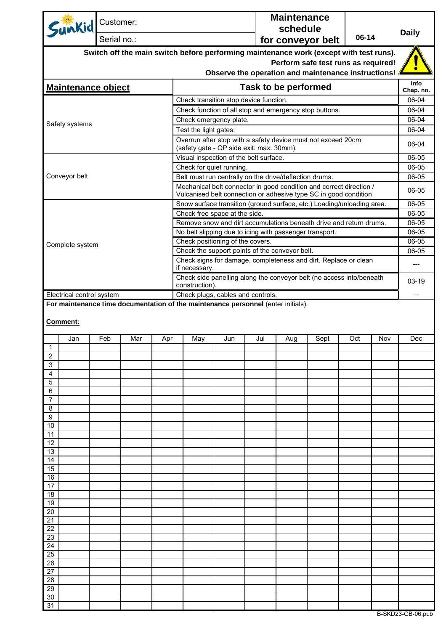| Sunkid Customer:                                                                                               |                               |     |     |                                                                                                                                         |     |     | <b>Maintenance</b><br>schedule |                                                     |       |     | <b>Daily</b>      |  |  |
|----------------------------------------------------------------------------------------------------------------|-------------------------------|-----|-----|-----------------------------------------------------------------------------------------------------------------------------------------|-----|-----|--------------------------------|-----------------------------------------------------|-------|-----|-------------------|--|--|
|                                                                                                                | Serial no.:                   |     |     |                                                                                                                                         |     |     |                                | for conveyor belt                                   | 06-14 |     |                   |  |  |
|                                                                                                                |                               |     |     | Switch off the main switch before performing maintenance work (except with test runs).                                                  |     |     |                                |                                                     |       |     |                   |  |  |
|                                                                                                                |                               |     |     |                                                                                                                                         |     |     |                                | Perform safe test runs as required!                 |       |     |                   |  |  |
|                                                                                                                |                               |     |     |                                                                                                                                         |     |     |                                | Observe the operation and maintenance instructions! |       |     |                   |  |  |
| <b>Maintenance object</b>                                                                                      |                               |     |     |                                                                                                                                         |     |     | <b>Task to be performed</b>    |                                                     |       |     | Info<br>Chap. no. |  |  |
|                                                                                                                |                               |     |     | Check transition stop device function.                                                                                                  |     |     |                                |                                                     |       |     | 06-04             |  |  |
|                                                                                                                |                               |     |     | Check function of all stop and emergency stop buttons.                                                                                  |     |     |                                |                                                     |       |     | 06-04             |  |  |
| Safety systems                                                                                                 |                               |     |     | Check emergency plate.                                                                                                                  |     |     |                                |                                                     |       |     | 06-04<br>06-04    |  |  |
|                                                                                                                |                               |     |     | Test the light gates.<br>Overrun after stop with a safety device must not exceed 20cm                                                   |     |     |                                |                                                     |       |     |                   |  |  |
|                                                                                                                |                               |     |     | (safety gate - OP side exit: max. 30mm).                                                                                                |     |     |                                |                                                     |       |     | 06-04             |  |  |
|                                                                                                                |                               |     |     | Visual inspection of the belt surface.                                                                                                  |     |     |                                |                                                     |       |     | 06-05<br>06-05    |  |  |
|                                                                                                                |                               |     |     | Check for quiet running.<br>Belt must run centrally on the drive/deflection drums.                                                      |     |     |                                |                                                     |       |     |                   |  |  |
| Conveyor belt                                                                                                  |                               |     |     |                                                                                                                                         |     |     |                                |                                                     |       |     | 06-05             |  |  |
|                                                                                                                |                               |     |     | Mechanical belt connector in good condition and correct direction /<br>Vulcanised belt connection or adhesive type SC in good condition |     |     |                                |                                                     |       |     | 06-05             |  |  |
|                                                                                                                |                               |     |     | Snow surface transition (ground surface, etc.) Loading/unloading area.                                                                  |     |     |                                |                                                     |       |     | 06-05             |  |  |
|                                                                                                                | Check free space at the side. |     |     |                                                                                                                                         |     |     |                                | 06-05                                               |       |     |                   |  |  |
|                                                                                                                |                               |     |     | Remove snow and dirt accumulations beneath drive and return drums.                                                                      |     |     |                                |                                                     |       |     | 06-05             |  |  |
|                                                                                                                |                               |     |     | No belt slipping due to icing with passenger transport.                                                                                 |     |     |                                |                                                     |       |     | 06-05             |  |  |
| Complete system                                                                                                |                               |     |     | Check positioning of the covers.<br>Check the support points of the conveyor belt.                                                      |     |     |                                |                                                     |       |     | 06-05<br>06-05    |  |  |
|                                                                                                                |                               |     |     | Check signs for damage, completeness and dirt. Replace or clean                                                                         |     |     |                                |                                                     |       |     |                   |  |  |
|                                                                                                                |                               |     |     | if necessary.<br>Check side panelling along the conveyor belt (no access into/beneath                                                   |     |     |                                |                                                     |       |     | ---               |  |  |
|                                                                                                                |                               |     |     | construction).                                                                                                                          |     |     |                                |                                                     |       |     | $03-19$           |  |  |
| Electrical control system<br>For maintenance time documentation of the maintenance personnel (enter initials). |                               |     |     | Check plugs, cables and controls.                                                                                                       |     |     |                                |                                                     |       |     | $---$             |  |  |
| <b>Comment:</b>                                                                                                |                               | Mar |     |                                                                                                                                         |     |     |                                |                                                     |       |     |                   |  |  |
| Jan<br>$\overline{1}$                                                                                          | Feb                           |     | Apr | May                                                                                                                                     | Jun | Jul | Aug                            | Sept                                                | Oct   | Nov | Dec               |  |  |
| 2                                                                                                              |                               |     |     |                                                                                                                                         |     |     |                                |                                                     |       |     |                   |  |  |
| 3                                                                                                              |                               |     |     |                                                                                                                                         |     |     |                                |                                                     |       |     |                   |  |  |
| 4<br>5                                                                                                         |                               |     |     |                                                                                                                                         |     |     |                                |                                                     |       |     |                   |  |  |
| 6                                                                                                              |                               |     |     |                                                                                                                                         |     |     |                                |                                                     |       |     |                   |  |  |
| 7                                                                                                              |                               |     |     |                                                                                                                                         |     |     |                                |                                                     |       |     |                   |  |  |
| 8<br>9                                                                                                         |                               |     |     |                                                                                                                                         |     |     |                                |                                                     |       |     |                   |  |  |
| 10                                                                                                             |                               |     |     |                                                                                                                                         |     |     |                                |                                                     |       |     |                   |  |  |
| 11                                                                                                             |                               |     |     |                                                                                                                                         |     |     |                                |                                                     |       |     |                   |  |  |
| 12                                                                                                             |                               |     |     |                                                                                                                                         |     |     |                                |                                                     |       |     |                   |  |  |
| 13<br>14                                                                                                       |                               |     |     |                                                                                                                                         |     |     |                                |                                                     |       |     |                   |  |  |
| 15                                                                                                             |                               |     |     |                                                                                                                                         |     |     |                                |                                                     |       |     |                   |  |  |
| 16                                                                                                             |                               |     |     |                                                                                                                                         |     |     |                                |                                                     |       |     |                   |  |  |
| 17<br>18                                                                                                       |                               |     |     |                                                                                                                                         |     |     |                                |                                                     |       |     |                   |  |  |
| 19                                                                                                             |                               |     |     |                                                                                                                                         |     |     |                                |                                                     |       |     |                   |  |  |
| 20                                                                                                             |                               |     |     |                                                                                                                                         |     |     |                                |                                                     |       |     |                   |  |  |
| 21                                                                                                             |                               |     |     |                                                                                                                                         |     |     |                                |                                                     |       |     |                   |  |  |
| 22<br>23                                                                                                       |                               |     |     |                                                                                                                                         |     |     |                                |                                                     |       |     |                   |  |  |
| 24                                                                                                             |                               |     |     |                                                                                                                                         |     |     |                                |                                                     |       |     |                   |  |  |
| 25                                                                                                             |                               |     |     |                                                                                                                                         |     |     |                                |                                                     |       |     |                   |  |  |
| 26<br>27                                                                                                       |                               |     |     |                                                                                                                                         |     |     |                                |                                                     |       |     |                   |  |  |
| 28                                                                                                             |                               |     |     |                                                                                                                                         |     |     |                                |                                                     |       |     |                   |  |  |
| 29                                                                                                             |                               |     |     |                                                                                                                                         |     |     |                                |                                                     |       |     |                   |  |  |
| 30                                                                                                             |                               |     |     |                                                                                                                                         |     |     |                                |                                                     |       |     |                   |  |  |
| 31                                                                                                             |                               |     |     |                                                                                                                                         |     |     |                                |                                                     |       |     |                   |  |  |

B-SKD23-GB-06.pub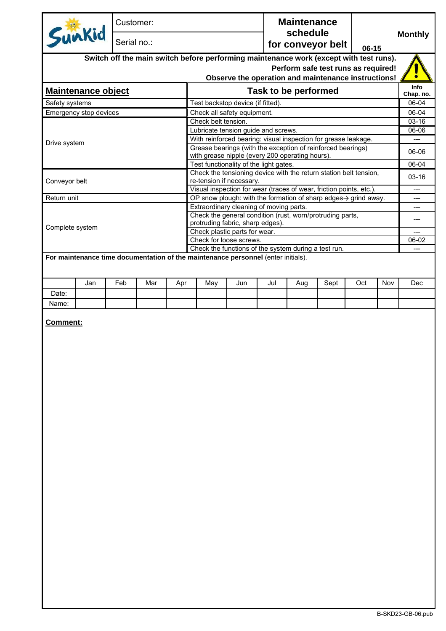| Sunkid<br>Serial no.:<br>for conveyor belt<br>$06-15$<br>Switch off the main switch before performing maintenance work (except with test runs).<br>Perform safe test runs as required!<br>Observe the operation and maintenance instructions!<br>Task to be performed<br><b>Maintenance object</b><br>Test backstop device (if fitted).<br>Safety systems<br>Emergency stop devices<br>Check all safety equipment.<br>Check belt tension.<br>Lubricate tension guide and screws.<br>With reinforced bearing: visual inspection for grease leakage.<br>Drive system<br>Grease bearings (with the exception of reinforced bearings)<br>with grease nipple (every 200 operating hours).<br>Test functionality of the light gates.<br>Check the tensioning device with the return station belt tension,<br>Conveyor belt<br>re-tension if necessary.<br>Visual inspection for wear (traces of wear, friction points, etc.).<br>Return unit<br>OP snow plough: with the formation of sharp edges $\rightarrow$ grind away.<br>---<br>Extraordinary cleaning of moving parts.<br>---<br>Check the general condition (rust, worn/protruding parts,<br>---<br>protruding fabric, sharp edges).<br>Complete system<br>Check plastic parts for wear.<br>---<br>Check for loose screws.<br>Check the functions of the system during a test run.<br>For maintenance time documentation of the maintenance personnel (enter initials).<br>Jan<br>Feb<br>Mar<br>Jun<br>Jul<br>Sept<br>Oct<br>Nov<br>Apr<br>May<br>Aug<br>Date:<br>Name:<br><b>Comment:</b> | Info<br>Chap. no.<br>06-04<br>06-04<br>$03-16$<br>06-06<br>06-06<br>$06 - 04$<br>$03-16$<br>06-02<br>Dec |  | Customer: |  |  |  |  | <b>Maintenance</b><br>schedule |  |  |  |                |
|----------------------------------------------------------------------------------------------------------------------------------------------------------------------------------------------------------------------------------------------------------------------------------------------------------------------------------------------------------------------------------------------------------------------------------------------------------------------------------------------------------------------------------------------------------------------------------------------------------------------------------------------------------------------------------------------------------------------------------------------------------------------------------------------------------------------------------------------------------------------------------------------------------------------------------------------------------------------------------------------------------------------------------------------------------------------------------------------------------------------------------------------------------------------------------------------------------------------------------------------------------------------------------------------------------------------------------------------------------------------------------------------------------------------------------------------------------------------------------------------------------------------------------------------|----------------------------------------------------------------------------------------------------------|--|-----------|--|--|--|--|--------------------------------|--|--|--|----------------|
|                                                                                                                                                                                                                                                                                                                                                                                                                                                                                                                                                                                                                                                                                                                                                                                                                                                                                                                                                                                                                                                                                                                                                                                                                                                                                                                                                                                                                                                                                                                                              |                                                                                                          |  |           |  |  |  |  |                                |  |  |  | <b>Monthly</b> |
|                                                                                                                                                                                                                                                                                                                                                                                                                                                                                                                                                                                                                                                                                                                                                                                                                                                                                                                                                                                                                                                                                                                                                                                                                                                                                                                                                                                                                                                                                                                                              |                                                                                                          |  |           |  |  |  |  |                                |  |  |  |                |
|                                                                                                                                                                                                                                                                                                                                                                                                                                                                                                                                                                                                                                                                                                                                                                                                                                                                                                                                                                                                                                                                                                                                                                                                                                                                                                                                                                                                                                                                                                                                              |                                                                                                          |  |           |  |  |  |  |                                |  |  |  |                |
|                                                                                                                                                                                                                                                                                                                                                                                                                                                                                                                                                                                                                                                                                                                                                                                                                                                                                                                                                                                                                                                                                                                                                                                                                                                                                                                                                                                                                                                                                                                                              |                                                                                                          |  |           |  |  |  |  |                                |  |  |  |                |
|                                                                                                                                                                                                                                                                                                                                                                                                                                                                                                                                                                                                                                                                                                                                                                                                                                                                                                                                                                                                                                                                                                                                                                                                                                                                                                                                                                                                                                                                                                                                              |                                                                                                          |  |           |  |  |  |  |                                |  |  |  |                |
|                                                                                                                                                                                                                                                                                                                                                                                                                                                                                                                                                                                                                                                                                                                                                                                                                                                                                                                                                                                                                                                                                                                                                                                                                                                                                                                                                                                                                                                                                                                                              |                                                                                                          |  |           |  |  |  |  |                                |  |  |  |                |
|                                                                                                                                                                                                                                                                                                                                                                                                                                                                                                                                                                                                                                                                                                                                                                                                                                                                                                                                                                                                                                                                                                                                                                                                                                                                                                                                                                                                                                                                                                                                              |                                                                                                          |  |           |  |  |  |  |                                |  |  |  |                |
|                                                                                                                                                                                                                                                                                                                                                                                                                                                                                                                                                                                                                                                                                                                                                                                                                                                                                                                                                                                                                                                                                                                                                                                                                                                                                                                                                                                                                                                                                                                                              |                                                                                                          |  |           |  |  |  |  |                                |  |  |  |                |
|                                                                                                                                                                                                                                                                                                                                                                                                                                                                                                                                                                                                                                                                                                                                                                                                                                                                                                                                                                                                                                                                                                                                                                                                                                                                                                                                                                                                                                                                                                                                              |                                                                                                          |  |           |  |  |  |  |                                |  |  |  |                |
|                                                                                                                                                                                                                                                                                                                                                                                                                                                                                                                                                                                                                                                                                                                                                                                                                                                                                                                                                                                                                                                                                                                                                                                                                                                                                                                                                                                                                                                                                                                                              |                                                                                                          |  |           |  |  |  |  |                                |  |  |  |                |
|                                                                                                                                                                                                                                                                                                                                                                                                                                                                                                                                                                                                                                                                                                                                                                                                                                                                                                                                                                                                                                                                                                                                                                                                                                                                                                                                                                                                                                                                                                                                              |                                                                                                          |  |           |  |  |  |  |                                |  |  |  |                |
|                                                                                                                                                                                                                                                                                                                                                                                                                                                                                                                                                                                                                                                                                                                                                                                                                                                                                                                                                                                                                                                                                                                                                                                                                                                                                                                                                                                                                                                                                                                                              |                                                                                                          |  |           |  |  |  |  |                                |  |  |  |                |
|                                                                                                                                                                                                                                                                                                                                                                                                                                                                                                                                                                                                                                                                                                                                                                                                                                                                                                                                                                                                                                                                                                                                                                                                                                                                                                                                                                                                                                                                                                                                              |                                                                                                          |  |           |  |  |  |  |                                |  |  |  |                |
|                                                                                                                                                                                                                                                                                                                                                                                                                                                                                                                                                                                                                                                                                                                                                                                                                                                                                                                                                                                                                                                                                                                                                                                                                                                                                                                                                                                                                                                                                                                                              |                                                                                                          |  |           |  |  |  |  |                                |  |  |  |                |
|                                                                                                                                                                                                                                                                                                                                                                                                                                                                                                                                                                                                                                                                                                                                                                                                                                                                                                                                                                                                                                                                                                                                                                                                                                                                                                                                                                                                                                                                                                                                              |                                                                                                          |  |           |  |  |  |  |                                |  |  |  |                |
|                                                                                                                                                                                                                                                                                                                                                                                                                                                                                                                                                                                                                                                                                                                                                                                                                                                                                                                                                                                                                                                                                                                                                                                                                                                                                                                                                                                                                                                                                                                                              |                                                                                                          |  |           |  |  |  |  |                                |  |  |  |                |
|                                                                                                                                                                                                                                                                                                                                                                                                                                                                                                                                                                                                                                                                                                                                                                                                                                                                                                                                                                                                                                                                                                                                                                                                                                                                                                                                                                                                                                                                                                                                              |                                                                                                          |  |           |  |  |  |  |                                |  |  |  |                |
|                                                                                                                                                                                                                                                                                                                                                                                                                                                                                                                                                                                                                                                                                                                                                                                                                                                                                                                                                                                                                                                                                                                                                                                                                                                                                                                                                                                                                                                                                                                                              |                                                                                                          |  |           |  |  |  |  |                                |  |  |  |                |
|                                                                                                                                                                                                                                                                                                                                                                                                                                                                                                                                                                                                                                                                                                                                                                                                                                                                                                                                                                                                                                                                                                                                                                                                                                                                                                                                                                                                                                                                                                                                              |                                                                                                          |  |           |  |  |  |  |                                |  |  |  |                |
|                                                                                                                                                                                                                                                                                                                                                                                                                                                                                                                                                                                                                                                                                                                                                                                                                                                                                                                                                                                                                                                                                                                                                                                                                                                                                                                                                                                                                                                                                                                                              |                                                                                                          |  |           |  |  |  |  |                                |  |  |  |                |
|                                                                                                                                                                                                                                                                                                                                                                                                                                                                                                                                                                                                                                                                                                                                                                                                                                                                                                                                                                                                                                                                                                                                                                                                                                                                                                                                                                                                                                                                                                                                              |                                                                                                          |  |           |  |  |  |  |                                |  |  |  |                |
|                                                                                                                                                                                                                                                                                                                                                                                                                                                                                                                                                                                                                                                                                                                                                                                                                                                                                                                                                                                                                                                                                                                                                                                                                                                                                                                                                                                                                                                                                                                                              |                                                                                                          |  |           |  |  |  |  |                                |  |  |  |                |
|                                                                                                                                                                                                                                                                                                                                                                                                                                                                                                                                                                                                                                                                                                                                                                                                                                                                                                                                                                                                                                                                                                                                                                                                                                                                                                                                                                                                                                                                                                                                              |                                                                                                          |  |           |  |  |  |  |                                |  |  |  |                |
|                                                                                                                                                                                                                                                                                                                                                                                                                                                                                                                                                                                                                                                                                                                                                                                                                                                                                                                                                                                                                                                                                                                                                                                                                                                                                                                                                                                                                                                                                                                                              |                                                                                                          |  |           |  |  |  |  |                                |  |  |  |                |
|                                                                                                                                                                                                                                                                                                                                                                                                                                                                                                                                                                                                                                                                                                                                                                                                                                                                                                                                                                                                                                                                                                                                                                                                                                                                                                                                                                                                                                                                                                                                              |                                                                                                          |  |           |  |  |  |  |                                |  |  |  |                |
|                                                                                                                                                                                                                                                                                                                                                                                                                                                                                                                                                                                                                                                                                                                                                                                                                                                                                                                                                                                                                                                                                                                                                                                                                                                                                                                                                                                                                                                                                                                                              |                                                                                                          |  |           |  |  |  |  |                                |  |  |  |                |
|                                                                                                                                                                                                                                                                                                                                                                                                                                                                                                                                                                                                                                                                                                                                                                                                                                                                                                                                                                                                                                                                                                                                                                                                                                                                                                                                                                                                                                                                                                                                              |                                                                                                          |  |           |  |  |  |  |                                |  |  |  |                |
|                                                                                                                                                                                                                                                                                                                                                                                                                                                                                                                                                                                                                                                                                                                                                                                                                                                                                                                                                                                                                                                                                                                                                                                                                                                                                                                                                                                                                                                                                                                                              |                                                                                                          |  |           |  |  |  |  |                                |  |  |  |                |
|                                                                                                                                                                                                                                                                                                                                                                                                                                                                                                                                                                                                                                                                                                                                                                                                                                                                                                                                                                                                                                                                                                                                                                                                                                                                                                                                                                                                                                                                                                                                              |                                                                                                          |  |           |  |  |  |  |                                |  |  |  |                |
|                                                                                                                                                                                                                                                                                                                                                                                                                                                                                                                                                                                                                                                                                                                                                                                                                                                                                                                                                                                                                                                                                                                                                                                                                                                                                                                                                                                                                                                                                                                                              |                                                                                                          |  |           |  |  |  |  |                                |  |  |  |                |
|                                                                                                                                                                                                                                                                                                                                                                                                                                                                                                                                                                                                                                                                                                                                                                                                                                                                                                                                                                                                                                                                                                                                                                                                                                                                                                                                                                                                                                                                                                                                              |                                                                                                          |  |           |  |  |  |  |                                |  |  |  |                |
|                                                                                                                                                                                                                                                                                                                                                                                                                                                                                                                                                                                                                                                                                                                                                                                                                                                                                                                                                                                                                                                                                                                                                                                                                                                                                                                                                                                                                                                                                                                                              |                                                                                                          |  |           |  |  |  |  |                                |  |  |  |                |
|                                                                                                                                                                                                                                                                                                                                                                                                                                                                                                                                                                                                                                                                                                                                                                                                                                                                                                                                                                                                                                                                                                                                                                                                                                                                                                                                                                                                                                                                                                                                              |                                                                                                          |  |           |  |  |  |  |                                |  |  |  |                |
|                                                                                                                                                                                                                                                                                                                                                                                                                                                                                                                                                                                                                                                                                                                                                                                                                                                                                                                                                                                                                                                                                                                                                                                                                                                                                                                                                                                                                                                                                                                                              |                                                                                                          |  |           |  |  |  |  |                                |  |  |  |                |
|                                                                                                                                                                                                                                                                                                                                                                                                                                                                                                                                                                                                                                                                                                                                                                                                                                                                                                                                                                                                                                                                                                                                                                                                                                                                                                                                                                                                                                                                                                                                              |                                                                                                          |  |           |  |  |  |  |                                |  |  |  |                |
|                                                                                                                                                                                                                                                                                                                                                                                                                                                                                                                                                                                                                                                                                                                                                                                                                                                                                                                                                                                                                                                                                                                                                                                                                                                                                                                                                                                                                                                                                                                                              |                                                                                                          |  |           |  |  |  |  |                                |  |  |  |                |
|                                                                                                                                                                                                                                                                                                                                                                                                                                                                                                                                                                                                                                                                                                                                                                                                                                                                                                                                                                                                                                                                                                                                                                                                                                                                                                                                                                                                                                                                                                                                              |                                                                                                          |  |           |  |  |  |  |                                |  |  |  |                |